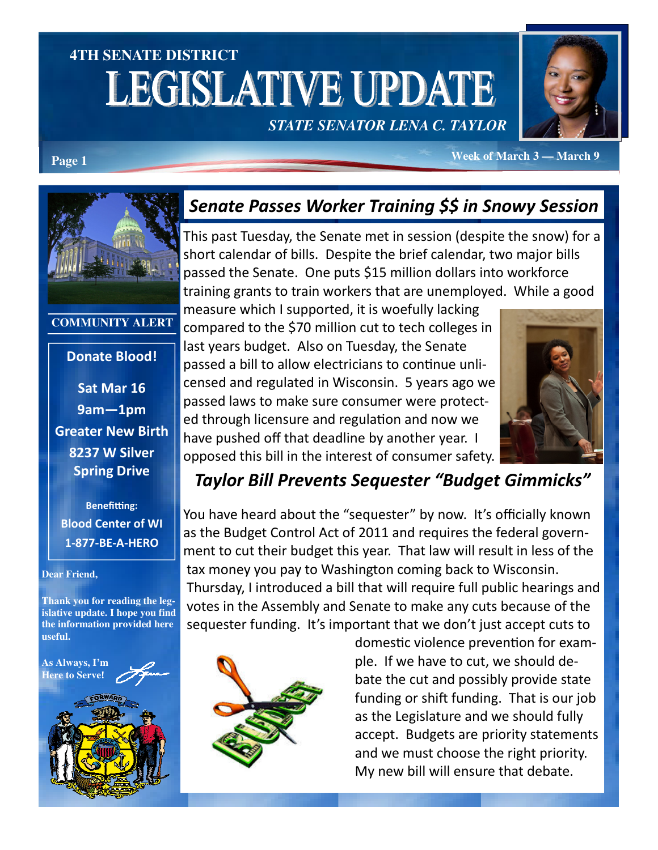# **4TH SENATE DISTRICT LEGISLATIVE UPDATE** *STATE SENATOR LENA C. TAYLOR*



**Page 1** *Page 1* **<b>Page 1** *Page 1 Page 1 Page 1 Page 1 Page 1 Page 1 Page 1* **<b>***Page 1 Page 1 Page 1 Page 1 Page 1 Page 1 Page 1 Page 1 Page 1 Page 1 Page 1* 

#### **COMMUNITY ALERT**

### Donate Blood!

Sat Mar 16 9am—1pm Greater New Birth 8237 W Silver Spring Drive

**Benefitting:** Blood Center of WI 1-877-BE-A-HERO

#### **Dear Friend,**

**Thank you for reading the legislative update. I hope you find the information provided here useful.** 



## Senate Passes Worker Training \$\$ in Snowy Session

This past Tuesday, the Senate met in session (despite the snow) for a short calendar of bills. Despite the brief calendar, two major bills passed the Senate. One puts \$15 million dollars into workforce training grants to train workers that are unemployed. While a good

measure which I supported, it is woefully lacking compared to the \$70 million cut to tech colleges in last years budget. Also on Tuesday, the Senate passed a bill to allow electricians to continue unlicensed and regulated in Wisconsin. 5 years ago we passed laws to make sure consumer were protected through licensure and regulation and now we have pushed off that deadline by another year. I opposed this bill in the interest of consumer safety.



## Taylor Bill Prevents Sequester "Budget Gimmicks"

You have heard about the "sequester" by now. It's officially known as the Budget Control Act of 2011 and requires the federal government to cut their budget this year. That law will result in less of the tax money you pay to Washington coming back to Wisconsin. Thursday, I introduced a bill that will require full public hearings and votes in the Assembly and Senate to make any cuts because of the sequester funding. It's important that we don't just accept cuts to



domestic violence prevention for example. If we have to cut, we should debate the cut and possibly provide state funding or shift funding. That is our job as the Legislature and we should fully accept. Budgets are priority statements and we must choose the right priority. My new bill will ensure that debate.